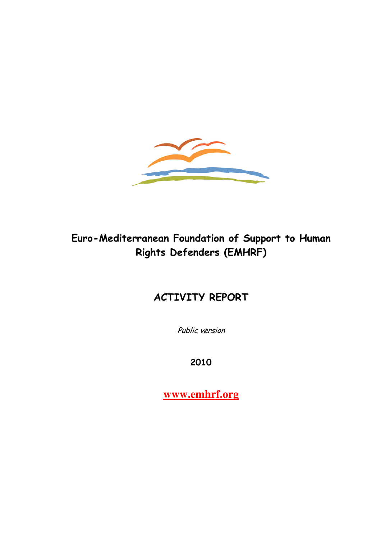

# Euro-Mediterranean Foundation of Support to Human Rights Defenders (EMHRF)

# ACTIVITY REPORT

Public version

2010

**www.emhrf.org**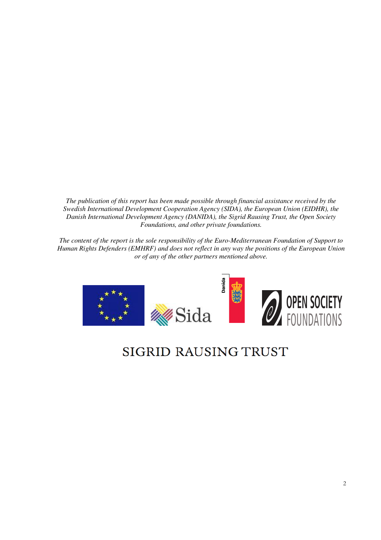*The publication of this report has been made possible through financial assistance received by the Swedish International Development Cooperation Agency (SIDA), the European Union (EIDHR), the Danish International Development Agency (DANIDA), the Sigrid Rausing Trust, the Open Society Foundations, and other private foundations.* 

*The content of the report is the sole responsibility of the Euro-Mediterranean Foundation of Support to Human Rights Defenders (EMHRF) and does not reflect in any way the positions of the European Union or of any of the other partners mentioned above.* 

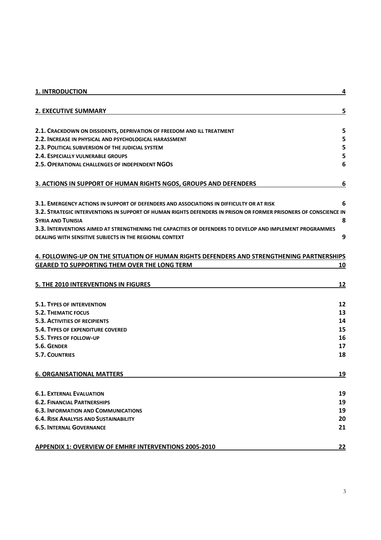| <b>1. INTRODUCTION</b>                                                                                                                       | 4         |
|----------------------------------------------------------------------------------------------------------------------------------------------|-----------|
| <b>2. EXECUTIVE SUMMARY</b>                                                                                                                  | 5         |
| 2.1. CRACKDOWN ON DISSIDENTS, DEPRIVATION OF FREEDOM AND ILL TREATMENT                                                                       | 5         |
| 2.2. INCREASE IN PHYSICAL AND PSYCHOLOGICAL HARASSMENT                                                                                       | 5         |
| 2.3. POLITICAL SUBVERSION OF THE JUDICIAL SYSTEM                                                                                             | 5         |
| 2.4. ESPECIALLY VULNERABLE GROUPS                                                                                                            | 5         |
| 2.5. OPERATIONAL CHALLENGES OF INDEPENDENT NGOS                                                                                              | 6         |
| 3. ACTIONS IN SUPPORT OF HUMAN RIGHTS NGOS, GROUPS AND DEFENDERS                                                                             | 6         |
| <b>3.1. EMERGENCY ACTIONS IN SUPPORT OF DEFENDERS AND ASSOCIATIONS IN DIFFICULTY OR AT RISK</b>                                              | 6         |
| 3.2. STRATEGIC INTERVENTIONS IN SUPPORT OF HUMAN RIGHTS DEFENDERS IN PRISON OR FORMER PRISONERS OF CONSCIENCE IN<br><b>SYRIA AND TUNISIA</b> | 8         |
| 3.3. INTERVENTIONS AIMED AT STRENGTHENING THE CAPACITIES OF DEFENDERS TO DEVELOP AND IMPLEMENT PROGRAMMES                                    |           |
| DEALING WITH SENSITIVE SUBJECTS IN THE REGIONAL CONTEXT                                                                                      | 9         |
| 4. FOLLOWING-UP ON THE SITUATION OF HUMAN RIGHTS DEFENDERS AND STRENGTHENING PARTNERSHIPS                                                    |           |
| <b>GEARED TO SUPPORTING THEM OVER THE LONG TERM</b>                                                                                          | 10        |
|                                                                                                                                              |           |
| 5. THE 2010 INTERVENTIONS IN FIGURES                                                                                                         | 12        |
| <b>5.1. TYPES OF INTERVENTION</b>                                                                                                            | 12        |
| 5.2. THEMATIC FOCUS                                                                                                                          | 13        |
| <b>5.3. ACTIVITIES OF RECIPIENTS</b>                                                                                                         | 14        |
| 5.4. TYPES OF EXPENDITURE COVERED                                                                                                            | 15        |
| 5.5. TYPES OF FOLLOW-UP                                                                                                                      | 16        |
| 5.6. GENDER                                                                                                                                  | 17        |
| <b>5.7. COUNTRIES</b>                                                                                                                        | 18        |
| <b>6. ORGANISATIONAL MATTERS</b>                                                                                                             | <u>19</u> |
| <b>6.1. EXTERNAL EVALUATION</b>                                                                                                              | 19        |
| <b>6.2. FINANCIAL PARTNERSHIPS</b>                                                                                                           | 19        |
| <b>6.3. INFORMATION AND COMMUNICATIONS</b>                                                                                                   | 19        |
| <b>6.4. RISK ANALYSIS AND SUSTAINABILITY</b>                                                                                                 | 20        |
| <b>6.5. INTERNAL GOVERNANCE</b>                                                                                                              | 21        |
| <b>APPENDIX 1: OVERVIEW OF EMHRF INTERVENTIONS 2005-2010</b>                                                                                 | <u>22</u> |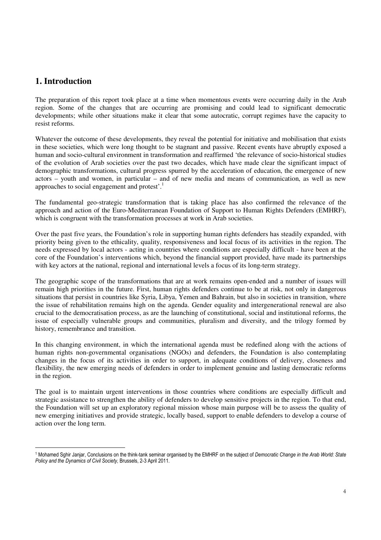## **1. Introduction**

The preparation of this report took place at a time when momentous events were occurring daily in the Arab region. Some of the changes that are occurring are promising and could lead to significant democratic developments; while other situations make it clear that some autocratic, corrupt regimes have the capacity to resist reforms.

Whatever the outcome of these developments, they reveal the potential for initiative and mobilisation that exists in these societies, which were long thought to be stagnant and passive. Recent events have abruptly exposed a human and socio-cultural environment in transformation and reaffirmed 'the relevance of socio-historical studies of the evolution of Arab societies over the past two decades, which have made clear the significant impact of demographic transformations, cultural progress spurred by the acceleration of education, the emergence of new actors – youth and women, in particular – and of new media and means of communication, as well as new approaches to social engagement and protest'.<sup>1</sup>

The fundamental geo-strategic transformation that is taking place has also confirmed the relevance of the approach and action of the Euro-Mediterranean Foundation of Support to Human Rights Defenders (EMHRF), which is congruent with the transformation processes at work in Arab societies.

Over the past five years, the Foundation's role in supporting human rights defenders has steadily expanded, with priority being given to the ethicality, quality, responsiveness and local focus of its activities in the region. The needs expressed by local actors - acting in countries where conditions are especially difficult - have been at the core of the Foundation's interventions which, beyond the financial support provided, have made its partnerships with key actors at the national, regional and international levels a focus of its long-term strategy.

The geographic scope of the transformations that are at work remains open-ended and a number of issues will remain high priorities in the future. First, human rights defenders continue to be at risk, not only in dangerous situations that persist in countries like Syria, Libya, Yemen and Bahrain, but also in societies in transition, where the issue of rehabilitation remains high on the agenda. Gender equality and intergenerational renewal are also crucial to the democratisation process, as are the launching of constitutional, social and institutional reforms, the issue of especially vulnerable groups and communities, pluralism and diversity, and the trilogy formed by history, remembrance and transition.

In this changing environment, in which the international agenda must be redefined along with the actions of human rights non-governmental organisations (NGOs) and defenders, the Foundation is also contemplating changes in the focus of its activities in order to support, in adequate conditions of delivery, closeness and flexibility, the new emerging needs of defenders in order to implement genuine and lasting democratic reforms in the region.

The goal is to maintain urgent interventions in those countries where conditions are especially difficult and strategic assistance to strengthen the ability of defenders to develop sensitive projects in the region. To that end, the Foundation will set up an exploratory regional mission whose main purpose will be to assess the quality of new emerging initiatives and provide strategic, locally based, support to enable defenders to develop a course of action over the long term.

<sup>-</sup><sup>1</sup> Mohamed Sghir Janjar, Conclusions on the think-tank seminar organised by the EMHRF on the subject of Democratic Change in the Arab World: State Policy and the Dynamics of Civil Society, Brussels, 2-3 April 2011.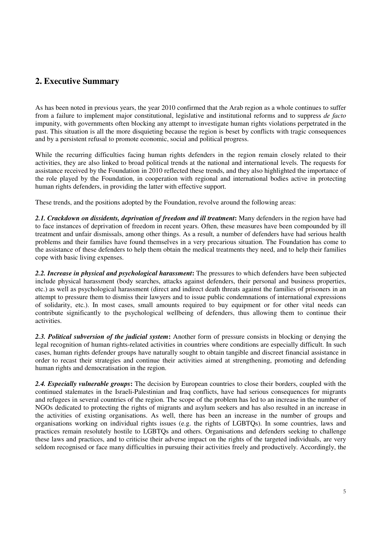# **2. Executive Summary**

As has been noted in previous years, the year 2010 confirmed that the Arab region as a whole continues to suffer from a failure to implement major constitutional, legislative and institutional reforms and to suppress *de facto* impunity, with governments often blocking any attempt to investigate human rights violations perpetrated in the past. This situation is all the more disquieting because the region is beset by conflicts with tragic consequences and by a persistent refusal to promote economic, social and political progress.

While the recurring difficulties facing human rights defenders in the region remain closely related to their activities, they are also linked to broad political trends at the national and international levels. The requests for assistance received by the Foundation in 2010 reflected these trends, and they also highlighted the importance of the role played by the Foundation, in cooperation with regional and international bodies active in protecting human rights defenders, in providing the latter with effective support.

These trends, and the positions adopted by the Foundation, revolve around the following areas:

*2.1. Crackdown on dissidents, deprivation of freedom and ill treatment***:** Many defenders in the region have had to face instances of deprivation of freedom in recent years. Often, these measures have been compounded by ill treatment and unfair dismissals, among other things. As a result, a number of defenders have had serious health problems and their families have found themselves in a very precarious situation. The Foundation has come to the assistance of these defenders to help them obtain the medical treatments they need, and to help their families cope with basic living expenses.

*2.2. Increase in physical and psychological harassment***:** The pressures to which defenders have been subjected include physical harassment (body searches, attacks against defenders, their personal and business properties, etc.) as well as psychological harassment (direct and indirect death threats against the families of prisoners in an attempt to pressure them to dismiss their lawyers and to issue public condemnations of international expressions of solidarity, etc.). In most cases, small amounts required to buy equipment or for other vital needs can contribute significantly to the psychological wellbeing of defenders, thus allowing them to continue their activities.

*2.3. Political subversion of the judicial system***:** Another form of pressure consists in blocking or denying the legal recognition of human rights-related activities in countries where conditions are especially difficult. In such cases, human rights defender groups have naturally sought to obtain tangible and discreet financial assistance in order to recast their strategies and continue their activities aimed at strengthening, promoting and defending human rights and democratisation in the region.

*2.4. Especially vulnerable groups***:** The decision by European countries to close their borders, coupled with the continued stalemates in the Israeli-Palestinian and Iraq conflicts, have had serious consequences for migrants and refugees in several countries of the region. The scope of the problem has led to an increase in the number of NGOs dedicated to protecting the rights of migrants and asylum seekers and has also resulted in an increase in the activities of existing organisations. As well, there has been an increase in the number of groups and organisations working on individual rights issues (e.g. the rights of LGBTQs). In some countries, laws and practices remain resolutely hostile to LGBTQs and others. Organisations and defenders seeking to challenge these laws and practices, and to criticise their adverse impact on the rights of the targeted individuals, are very seldom recognised or face many difficulties in pursuing their activities freely and productively. Accordingly, the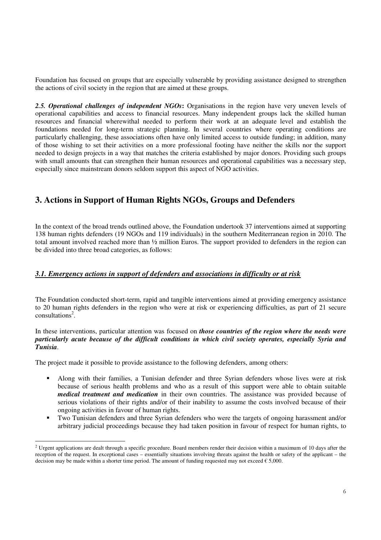Foundation has focused on groups that are especially vulnerable by providing assistance designed to strengthen the actions of civil society in the region that are aimed at these groups.

*2.5. Operational challenges of independent NGOs***:** Organisations in the region have very uneven levels of operational capabilities and access to financial resources. Many independent groups lack the skilled human resources and financial wherewithal needed to perform their work at an adequate level and establish the foundations needed for long-term strategic planning. In several countries where operating conditions are particularly challenging, these associations often have only limited access to outside funding; in addition, many of those wishing to set their activities on a more professional footing have neither the skills nor the support needed to design projects in a way that matches the criteria established by major donors. Providing such groups with small amounts that can strengthen their human resources and operational capabilities was a necessary step, especially since mainstream donors seldom support this aspect of NGO activities.

# **3. Actions in Support of Human Rights NGOs, Groups and Defenders**

In the context of the broad trends outlined above, the Foundation undertook 37 interventions aimed at supporting 138 human rights defenders (19 NGOs and 119 individuals) in the southern Mediterranean region in 2010. The total amount involved reached more than ½ million Euros. The support provided to defenders in the region can be divided into three broad categories, as follows:

#### *3.1. Emergency actions in support of defenders and associations in difficulty or at risk*

The Foundation conducted short-term, rapid and tangible interventions aimed at providing emergency assistance to 20 human rights defenders in the region who were at risk or experiencing difficulties, as part of 21 secure  $const$ <sup>2</sup>.

In these interventions, particular attention was focused on *those countries of the region where the needs were particularly acute because of the difficult conditions in which civil society operates, especially Syria and Tunisia*.

The project made it possible to provide assistance to the following defenders, among others:

-

- Along with their families, a Tunisian defender and three Syrian defenders whose lives were at risk because of serious health problems and who as a result of this support were able to obtain suitable *medical treatment and medication* in their own countries. The assistance was provided because of serious violations of their rights and/or of their inability to assume the costs involved because of their ongoing activities in favour of human rights.
- Two Tunisian defenders and three Syrian defenders who were the targets of ongoing harassment and/or arbitrary judicial proceedings because they had taken position in favour of respect for human rights, to

 $<sup>2</sup>$  Urgent applications are dealt through a specific procedure. Board members render their decision within a maximum of 10 days after the</sup> reception of the request. In exceptional cases – essentially situations involving threats against the health or safety of the applicant – the decision may be made within a shorter time period. The amount of funding requested may not exceed  $\epsilon$  5,000.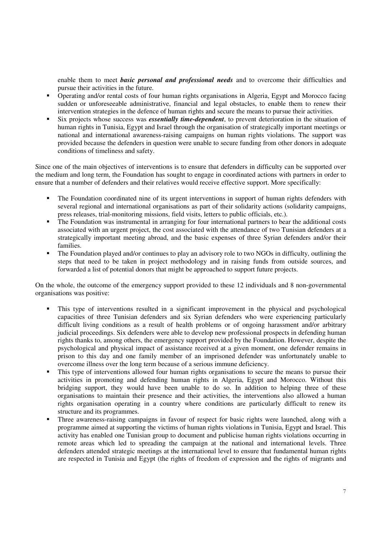enable them to meet *basic personal and professional needs* and to overcome their difficulties and pursue their activities in the future.

- Operating and/or rental costs of four human rights organisations in Algeria, Egypt and Morocco facing sudden or unforeseeable administrative, financial and legal obstacles, to enable them to renew their intervention strategies in the defence of human rights and secure the means to pursue their activities.
- Six projects whose success was *essentially time-dependent*, to prevent deterioration in the situation of human rights in Tunisia, Egypt and Israel through the organisation of strategically important meetings or national and international awareness-raising campaigns on human rights violations. The support was provided because the defenders in question were unable to secure funding from other donors in adequate conditions of timeliness and safety.

Since one of the main objectives of interventions is to ensure that defenders in difficulty can be supported over the medium and long term, the Foundation has sought to engage in coordinated actions with partners in order to ensure that a number of defenders and their relatives would receive effective support. More specifically:

- The Foundation coordinated nine of its urgent interventions in support of human rights defenders with several regional and international organisations as part of their solidarity actions (solidarity campaigns, press releases, trial-monitoring missions, field visits, letters to public officials, etc.).
- The Foundation was instrumental in arranging for four international partners to bear the additional costs associated with an urgent project, the cost associated with the attendance of two Tunisian defenders at a strategically important meeting abroad, and the basic expenses of three Syrian defenders and/or their families.
- The Foundation played and/or continues to play an advisory role to two NGOs in difficulty, outlining the steps that need to be taken in project methodology and in raising funds from outside sources, and forwarded a list of potential donors that might be approached to support future projects.

On the whole, the outcome of the emergency support provided to these 12 individuals and 8 non-governmental organisations was positive:

- This type of interventions resulted in a significant improvement in the physical and psychological capacities of three Tunisian defenders and six Syrian defenders who were experiencing particularly difficult living conditions as a result of health problems or of ongoing harassment and/or arbitrary judicial proceedings. Six defenders were able to develop new professional prospects in defending human rights thanks to, among others, the emergency support provided by the Foundation. However, despite the psychological and physical impact of assistance received at a given moment, one defender remains in prison to this day and one family member of an imprisoned defender was unfortunately unable to overcome illness over the long term because of a serious immune deficiency.
- This type of interventions allowed four human rights organisations to secure the means to pursue their activities in promoting and defending human rights in Algeria, Egypt and Morocco. Without this bridging support, they would have been unable to do so. In addition to helping three of these organisations to maintain their presence and their activities, the interventions also allowed a human rights organisation operating in a country where conditions are particularly difficult to renew its structure and its programmes.
- Three awareness-raising campaigns in favour of respect for basic rights were launched, along with a programme aimed at supporting the victims of human rights violations in Tunisia, Egypt and Israel. This activity has enabled one Tunisian group to document and publicise human rights violations occurring in remote areas which led to spreading the campaign at the national and international levels. Three defenders attended strategic meetings at the international level to ensure that fundamental human rights are respected in Tunisia and Egypt (the rights of freedom of expression and the rights of migrants and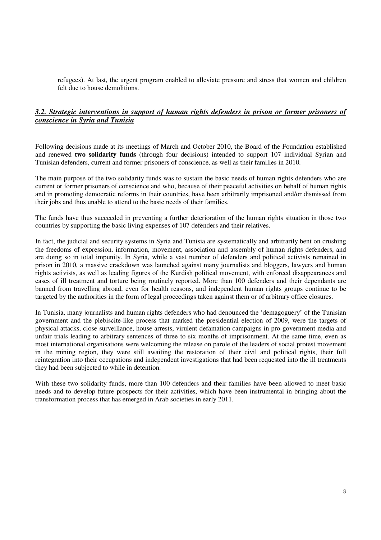refugees). At last, the urgent program enabled to alleviate pressure and stress that women and children felt due to house demolitions.

### *3.2. Strategic interventions in support of human rights defenders in prison or former prisoners of conscience in Syria and Tunisia*

Following decisions made at its meetings of March and October 2010, the Board of the Foundation established and renewed **two solidarity funds** (through four decisions) intended to support 107 individual Syrian and Tunisian defenders, current and former prisoners of conscience, as well as their families in 2010.

The main purpose of the two solidarity funds was to sustain the basic needs of human rights defenders who are current or former prisoners of conscience and who, because of their peaceful activities on behalf of human rights and in promoting democratic reforms in their countries, have been arbitrarily imprisoned and/or dismissed from their jobs and thus unable to attend to the basic needs of their families.

The funds have thus succeeded in preventing a further deterioration of the human rights situation in those two countries by supporting the basic living expenses of 107 defenders and their relatives.

In fact, the judicial and security systems in Syria and Tunisia are systematically and arbitrarily bent on crushing the freedoms of expression, information, movement, association and assembly of human rights defenders, and are doing so in total impunity. In Syria, while a vast number of defenders and political activists remained in prison in 2010, a massive crackdown was launched against many journalists and bloggers, lawyers and human rights activists, as well as leading figures of the Kurdish political movement, with enforced disappearances and cases of ill treatment and torture being routinely reported. More than 100 defenders and their dependants are banned from travelling abroad, even for health reasons, and independent human rights groups continue to be targeted by the authorities in the form of legal proceedings taken against them or of arbitrary office closures.

In Tunisia, many journalists and human rights defenders who had denounced the 'demagoguery' of the Tunisian government and the plebiscite-like process that marked the presidential election of 2009, were the targets of physical attacks, close surveillance, house arrests, virulent defamation campaigns in pro-government media and unfair trials leading to arbitrary sentences of three to six months of imprisonment. At the same time, even as most international organisations were welcoming the release on parole of the leaders of social protest movement in the mining region, they were still awaiting the restoration of their civil and political rights, their full reintegration into their occupations and independent investigations that had been requested into the ill treatments they had been subjected to while in detention.

With these two solidarity funds, more than 100 defenders and their families have been allowed to meet basic needs and to develop future prospects for their activities, which have been instrumental in bringing about the transformation process that has emerged in Arab societies in early 2011.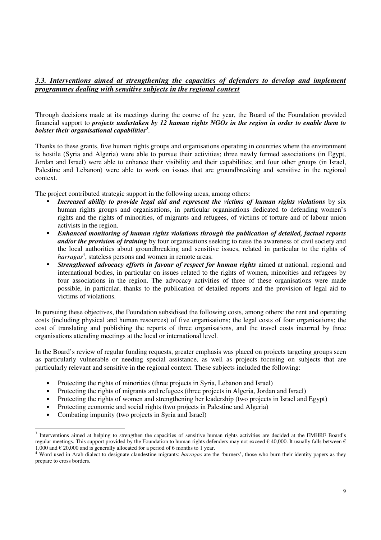#### *3.3. Interventions aimed at strengthening the capacities of defenders to develop and implement programmes dealing with sensitive subjects in the regional context*

Through decisions made at its meetings during the course of the year, the Board of the Foundation provided financial support to *projects undertaken by 12 human rights NGOs in the region in order to enable them to bolster their organisational capabilities<sup>3</sup>* .

Thanks to these grants, five human rights groups and organisations operating in countries where the environment is hostile (Syria and Algeria) were able to pursue their activities; three newly formed associations (in Egypt, Jordan and Israel) were able to enhance their visibility and their capabilities; and four other groups (in Israel, Palestine and Lebanon) were able to work on issues that are groundbreaking and sensitive in the regional context.

The project contributed strategic support in the following areas, among others:

- *Increased ability to provide legal aid and represent the victims of human rights violations* by six human rights groups and organisations, in particular organisations dedicated to defending women's rights and the rights of minorities, of migrants and refugees, of victims of torture and of labour union activists in the region.
- *Enhanced monitoring of human rights violations through the publication of detailed, factual reports and/or the provision of training* by four organisations seeking to raise the awareness of civil society and the local authorities about groundbreaking and sensitive issues, related in particular to the rights of harragas<sup>4</sup>, stateless persons and women in remote areas.
- *Strengthened advocacy efforts in favour of respect for human rights* aimed at national, regional and international bodies, in particular on issues related to the rights of women, minorities and refugees by four associations in the region. The advocacy activities of three of these organisations were made possible, in particular, thanks to the publication of detailed reports and the provision of legal aid to victims of violations.

In pursuing these objectives, the Foundation subsidised the following costs, among others: the rent and operating costs (including physical and human resources) of five organisations; the legal costs of four organisations; the cost of translating and publishing the reports of three organisations, and the travel costs incurred by three organisations attending meetings at the local or international level.

In the Board's review of regular funding requests, greater emphasis was placed on projects targeting groups seen as particularly vulnerable or needing special assistance, as well as projects focusing on subjects that are particularly relevant and sensitive in the regional context. These subjects included the following:

- Protecting the rights of minorities (three projects in Syria, Lebanon and Israel)
- Protecting the rights of migrants and refugees (three projects in Algeria, Jordan and Israel)
- Protecting the rights of women and strengthening her leadership (two projects in Israel and Egypt)
- Protecting economic and social rights (two projects in Palestine and Algeria)
- Combating impunity (two projects in Syria and Israel)

<sup>-</sup><sup>3</sup> Interventions aimed at helping to strengthen the capacities of sensitive human rights activities are decided at the EMHRF Board's regular meetings. This support provided by the Foundation to human rights defenders may not exceed  $\epsilon$  40,000. It usually falls between  $\epsilon$ 1,000 and  $\in$  20,000 and is generally allocated for a period of 6 months to 1 year.

<sup>4</sup> Word used in Arab dialect to designate clandestine migrants: *harragas* are the 'burners', those who burn their identity papers as they prepare to cross borders.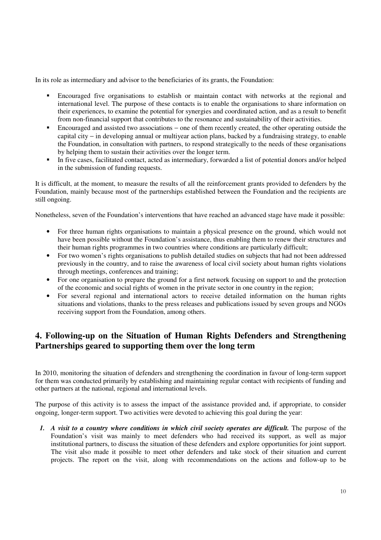In its role as intermediary and advisor to the beneficiaries of its grants, the Foundation:

- Encouraged five organisations to establish or maintain contact with networks at the regional and international level. The purpose of these contacts is to enable the organisations to share information on their experiences, to examine the potential for synergies and coordinated action, and as a result to benefit from non-financial support that contributes to the resonance and sustainability of their activities.
- Encouraged and assisted two associations one of them recently created, the other operating outside the capital city − in developing annual or multiyear action plans, backed by a fundraising strategy, to enable the Foundation, in consultation with partners, to respond strategically to the needs of these organisations by helping them to sustain their activities over the longer term.
- In five cases, facilitated contact, acted as intermediary, forwarded a list of potential donors and/or helped in the submission of funding requests.

It is difficult, at the moment, to measure the results of all the reinforcement grants provided to defenders by the Foundation, mainly because most of the partnerships established between the Foundation and the recipients are still ongoing.

Nonetheless, seven of the Foundation's interventions that have reached an advanced stage have made it possible:

- For three human rights organisations to maintain a physical presence on the ground, which would not have been possible without the Foundation's assistance, thus enabling them to renew their structures and their human rights programmes in two countries where conditions are particularly difficult;
- For two women's rights organisations to publish detailed studies on subjects that had not been addressed previously in the country, and to raise the awareness of local civil society about human rights violations through meetings, conferences and training;
- For one organisation to prepare the ground for a first network focusing on support to and the protection of the economic and social rights of women in the private sector in one country in the region;
- For several regional and international actors to receive detailed information on the human rights situations and violations, thanks to the press releases and publications issued by seven groups and NGOs receiving support from the Foundation, among others.

# **4. Following-up on the Situation of Human Rights Defenders and Strengthening Partnerships geared to supporting them over the long term**

In 2010, monitoring the situation of defenders and strengthening the coordination in favour of long-term support for them was conducted primarily by establishing and maintaining regular contact with recipients of funding and other partners at the national, regional and international levels.

The purpose of this activity is to assess the impact of the assistance provided and, if appropriate, to consider ongoing, longer-term support. Two activities were devoted to achieving this goal during the year:

*1. A visit to a country where conditions in which civil society operates are difficult.* The purpose of the Foundation's visit was mainly to meet defenders who had received its support, as well as major institutional partners, to discuss the situation of these defenders and explore opportunities for joint support. The visit also made it possible to meet other defenders and take stock of their situation and current projects. The report on the visit, along with recommendations on the actions and follow-up to be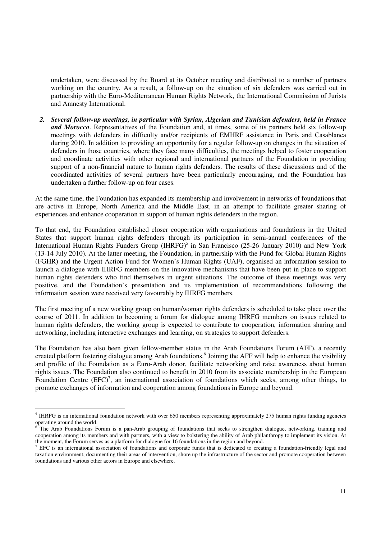undertaken, were discussed by the Board at its October meeting and distributed to a number of partners working on the country. As a result, a follow-up on the situation of six defenders was carried out in partnership with the Euro-Mediterranean Human Rights Network, the International Commission of Jurists and Amnesty International.

*2. Several follow-up meetings, in particular with Syrian, Algerian and Tunisian defenders, held in France and Morocco*. Representatives of the Foundation and, at times, some of its partners held six follow-up meetings with defenders in difficulty and/or recipients of EMHRF assistance in Paris and Casablanca during 2010. In addition to providing an opportunity for a regular follow-up on changes in the situation of defenders in those countries, where they face many difficulties, the meetings helped to foster cooperation and coordinate activities with other regional and international partners of the Foundation in providing support of a non-financial nature to human rights defenders. The results of these discussions and of the coordinated activities of several partners have been particularly encouraging, and the Foundation has undertaken a further follow-up on four cases.

At the same time, the Foundation has expanded its membership and involvement in networks of foundations that are active in Europe, North America and the Middle East, in an attempt to facilitate greater sharing of experiences and enhance cooperation in support of human rights defenders in the region.

To that end, the Foundation established closer cooperation with organisations and foundations in the United States that support human rights defenders through its participation in semi-annual conferences of the International Human Rights Funders Group (IHRFG)<sup>5</sup> in San Francisco (25-26 January 2010) and New York (13-14 July 2010). At the latter meeting, the Foundation, in partnership with the Fund for Global Human Rights (FGHR) and the Urgent Action Fund for Women's Human Rights (UAF), organised an information session to launch a dialogue with IHRFG members on the innovative mechanisms that have been put in place to support human rights defenders who find themselves in urgent situations. The outcome of these meetings was very positive, and the Foundation's presentation and its implementation of recommendations following the information session were received very favourably by IHRFG members.

The first meeting of a new working group on human/woman rights defenders is scheduled to take place over the course of 2011. In addition to becoming a forum for dialogue among IHRFG members on issues related to human rights defenders, the working group is expected to contribute to cooperation, information sharing and networking, including interactive exchanges and learning, on strategies to support defenders.

The Foundation has also been given fellow-member status in the Arab Foundations Forum (AFF), a recently created platform fostering dialogue among Arab foundations.<sup>6</sup> Joining the AFF will help to enhance the visibility and profile of the Foundation as a Euro-Arab donor, facilitate networking and raise awareness about human rights issues. The Foundation also continued to benefit in 2010 from its associate membership in the European Foundation Centre  $(EFC)^7$ , an international association of foundations which seeks, among other things, to promote exchanges of information and cooperation among foundations in Europe and beyond.

THRFG is an international foundation network with over 650 members representing approximately 275 human rights funding agencies operating around the world.<br><sup>6</sup> The Arch Foundations For

The Arab Foundations Forum is a pan-Arab grouping of foundations that seeks to strengthen dialogue, networking, training and cooperation among its members and with partners, with a view to bolstering the ability of Arab philanthropy to implement its vision. At the moment, the Forum serves as a platform for dialogue for 16 foundations in the region and beyond.

 $<sup>7</sup>$  EFC is an international association of foundations and corporate funds that is dedicated to creating a foundation-friendly legal and</sup> taxation environment, documenting their areas of intervention, shore up the infrastructure of the sector and promote cooperation between foundations and various other actors in Europe and elsewhere.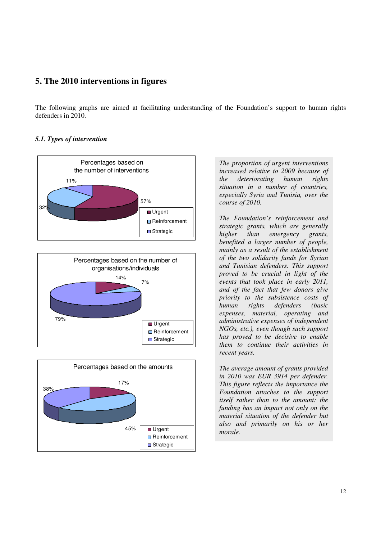# **5. The 2010 interventions in figures**

The following graphs are aimed at facilitating understanding of the Foundation's support to human rights defenders in 2010.

#### *5.1. Types of intervention*





*The proportion of urgent interventions increased relative to 2009 because of the deteriorating human rights situation in a number of countries, especially Syria and Tunisia, over the course of 2010.* 

*The Foundation's reinforcement and strategic grants, which are generally higher than emergency grants, benefited a larger number of people, mainly as a result of the establishment of the two solidarity funds for Syrian and Tunisian defenders. This support proved to be crucial in light of the events that took place in early 2011, and of the fact that few donors give priority to the subsistence costs of human rights defenders (basic expenses, material, operating and administrative expenses of independent NGOs, etc.), even though such support has proved to be decisive to enable them to continue their activities in recent years.* 

*The average amount of grants provided in 2010 was EUR 3914 per defender. This figure reflects the importance the Foundation attaches to the support itself rather than to the amount: the funding has an impact not only on the material situation of the defender but also and primarily on his or her morale.*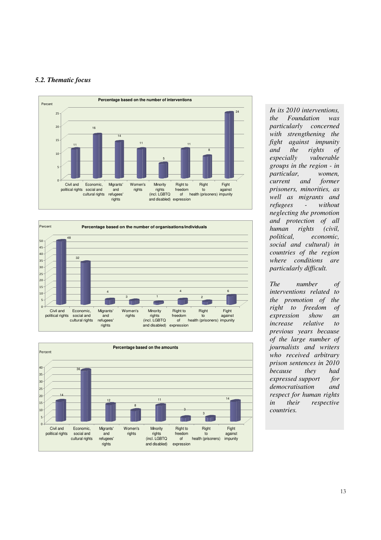#### *5.2. Thematic focus*







*In its 2010 interventions, the Foundation was particularly concerned with strengthening the fight against impunity and the rights of especially vulnerable groups in the region - in particular, women, current and former prisoners, minorities, as well as migrants and refugees - without neglecting the promotion and protection of all human rights (civil, political, economic, social and cultural) in countries of the region where conditions are particularly difficult.* 

*The number of interventions related to the promotion of the right to freedom of expression show an increase relative to previous years because of the large number of journalists and writers who received arbitrary prison sentences in 2010 because they had expressed support for democratisation and respect for human rights in their respective countries.*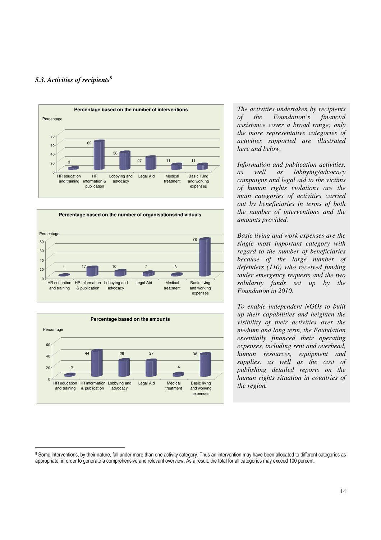#### *5.3. Activities of recipients***<sup>8</sup>**

-







*The activities undertaken by recipients of the Foundation's financial assistance cover a broad range; only the more representative categories of activities supported are illustrated here and below.* 

*Information and publication activities, as well as lobbying/advocacy campaigns and legal aid to the victims of human rights violations are the main categories of activities carried out by beneficiaries in terms of both the number of interventions and the amounts provided.* 

*Basic living and work expenses are the single most important category with regard to the number of beneficiaries because of the large number of defenders (110) who received funding under emergency requests and the two solidarity funds set up by the Foundation in 2010.* 

*To enable independent NGOs to built up their capabilities and heighten the visibility of their activities over the medium and long term, the Foundation essentially financed their operating expenses, including rent and overhead, human resources, equipment and supplies, as well as the cost of publishing detailed reports on the human rights situation in countries of the region.* 

<sup>&</sup>lt;sup>8</sup> Some interventions, by their nature, fall under more than one activity category. Thus an intervention may have been allocated to different categories as appropriate, in order to generate a comprehensive and relevant overview. As a result, the total for all categories may exceed 100 percent.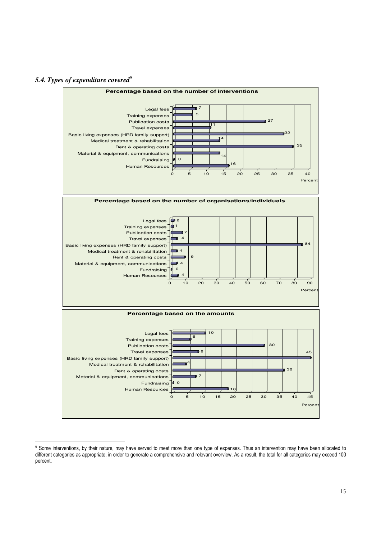#### *5.4. Types of expenditure covered***<sup>9</sup>**

-



<sup>&</sup>lt;sup>9</sup> Some interventions, by their nature, may have served to meet more than one type of expenses. Thus an intervention may have been allocated to different categories as appropriate, in order to generate a comprehensive and relevant overview. As a result, the total for all categories may exceed 100 percent.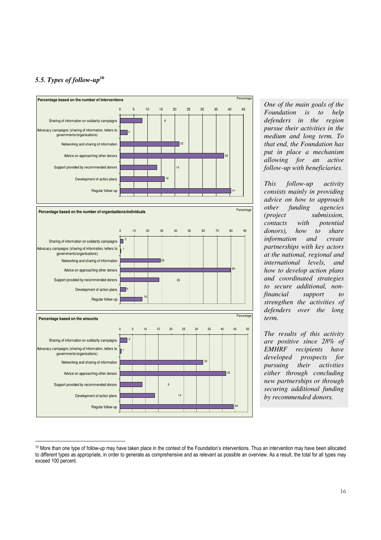## *5.5. Types of follow-up***<sup>10</sup>**



*One of the main goals of the Foundation is to help defenders in the region pursue their activities in the medium and long term. To that end, the Foundation has put in place a mechanism allowing for an active follow-up with beneficiaries.* 

*This follow-up activity consists mainly in providing advice on how to approach other funding agencies (project submission, contacts with potential donors), how to share information and create partnerships with key actors at the national, regional and international levels, and how to develop action plans and coordinated strategies to secure additional, nonfinancial support to strengthen the activities of defenders over the long term.* 

*The results of this activity are positive since 28% of EMHRF recipients have developed prospects for pursuing their activities either through concluding new partnerships or through securing additional funding by recommended donors.* 

<sup>-</sup><sup>10</sup> More than one type of follow-up may have taken place in the context of the Foundation's interventions. Thus an intervention may have been allocated to different types as appropriate, in order to generate as comprehensive and as relevant as possible an overview. As a result, the total for all types may exceed 100 percent.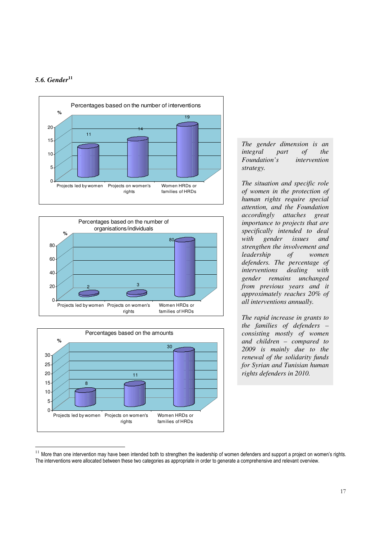#### *5.6. Gender***<sup>11</sup>**

-







*The gender dimension is an integral part of the Foundation's intervention strategy.* 

*The situation and specific role of women in the protection of human rights require special attention, and the Foundation accordingly attaches great importance to projects that are specifically intended to deal with gender issues and strengthen the involvement and leadership of women defenders. The percentage of interventions dealing with gender remains unchanged from previous years and it approximately reaches 20% of all interventions annually.* 

*The rapid increase in grants to the families of defenders – consisting mostly of women and children – compared to 2009 is mainly due to the renewal of the solidarity funds for Syrian and Tunisian human rights defenders in 2010.* 

 $11$  More than one intervention may have been intended both to strengthen the leadership of women defenders and support a project on women's rights. The interventions were allocated between these two categories as appropriate in order to generate a comprehensive and relevant overview.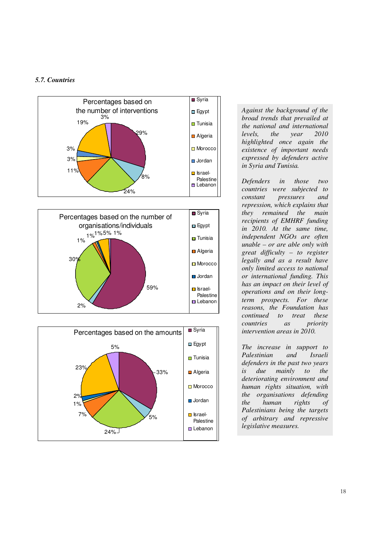### *5.7. Countries*





*Against the background of the broad trends that prevailed at the national and international levels, the year 2010 highlighted once again the existence of important needs expressed by defenders active in Syria and Tunisia.* 

*Defenders in those two countries were subjected to constant pressures and repression, which explains that they remained the main recipients of EMHRF funding in 2010. At the same time, independent NGOs are often unable – or are able only with great difficulty – to register legally and as a result have only limited access to national or international funding. This has an impact on their level of operations and on their longterm prospects. For these reasons, the Foundation has continued to treat these countries as priority intervention areas in 2010.* 

*The increase in support to Palestinian and Israeli defenders in the past two years is due mainly to the deteriorating environment and human rights situation, with the organisations defending the human rights of Palestinians being the targets of arbitrary and repressive legislative measures.*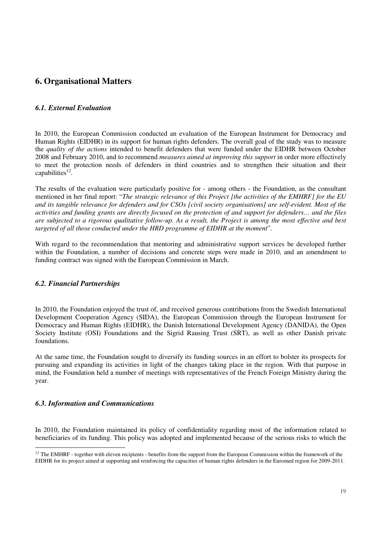# **6. Organisational Matters**

### *6.1. External Evaluation*

In 2010, the European Commission conducted an evaluation of the European Instrument for Democracy and Human Rights (EIDHR) in its support for human rights defenders. The overall goal of the study was to measure the *quality of the actions* intended to benefit defenders that were funded under the EIDHR between October 2008 and February 2010, and to recommend *measures aimed at improving this support* in order more effectively to meet the protection needs of defenders in third countries and to strengthen their situation and their capabilities<sup>12</sup>.

The results of the evaluation were particularly positive for - among others - the Foundation, as the consultant mentioned in her final report: "*The strategic relevance of this Project [the activities of the EMHRF] for the EU and its tangible relevance for defenders and for CSOs [civil society organisations] are self-evident. Most of the activities and funding grants are directly focused on the protection of and support for defenders… and the files are subjected to a rigorous qualitative follow-up. As a result, the Project is among the most effective and best targeted of all those conducted under the HRD programme of EIDHR at the moment*".

With regard to the recommendation that mentoring and administrative support services be developed further within the Foundation, a number of decisions and concrete steps were made in 2010, and an amendment to funding contract was signed with the European Commission in March.

#### *6.2. Financial Partnerships*

In 2010, the Foundation enjoyed the trust of, and received generous contributions from the Swedish International Development Cooperation Agency (SIDA), the European Commission through the European Instrument for Democracy and Human Rights (EIDHR), the Danish International Development Agency (DANIDA), the Open Society Institute (OSI) Foundations and the Sigrid Rausing Trust (SRT), as well as other Danish private foundations.

At the same time, the Foundation sought to diversify its funding sources in an effort to bolster its prospects for pursuing and expanding its activities in light of the changes taking place in the region. With that purpose in mind, the Foundation held a number of meetings with representatives of the French Foreign Ministry during the year.

#### *6.3. Information and Communications*

-

In 2010, the Foundation maintained its policy of confidentiality regarding most of the information related to beneficiaries of its funding. This policy was adopted and implemented because of the serious risks to which the

 $12$  The EMHRF - together with eleven recipients - benefits from the support from the European Commission within the framework of the EIDHR for its project aimed at supporting and reinforcing the capacities of human rights defenders in the Euromed region for 2009-2011.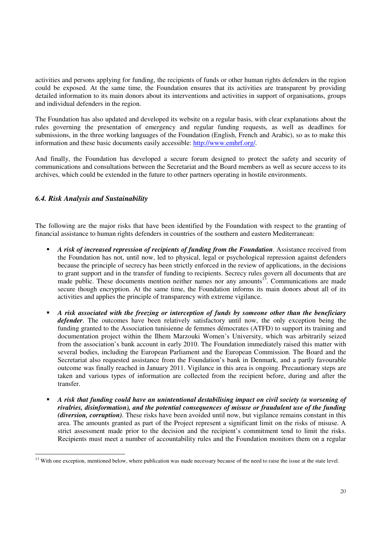activities and persons applying for funding, the recipients of funds or other human rights defenders in the region could be exposed. At the same time, the Foundation ensures that its activities are transparent by providing detailed information to its main donors about its interventions and activities in support of organisations, groups and individual defenders in the region.

The Foundation has also updated and developed its website on a regular basis, with clear explanations about the rules governing the presentation of emergency and regular funding requests, as well as deadlines for submissions, in the three working languages of the Foundation (English, French and Arabic), so as to make this information and these basic documents easily accessible: http://www.emhrf.org/.

And finally, the Foundation has developed a secure forum designed to protect the safety and security of communications and consultations between the Secretariat and the Board members as well as secure access to its archives, which could be extended in the future to other partners operating in hostile environments.

#### *6.4. Risk Analysis and Sustainability*

-

The following are the major risks that have been identified by the Foundation with respect to the granting of financial assistance to human rights defenders in countries of the southern and eastern Mediterranean:

- *A risk of increased repression of recipients of funding from the Foundation*. Assistance received from the Foundation has not, until now, led to physical, legal or psychological repression against defenders because the principle of secrecy has been strictly enforced in the review of applications, in the decisions to grant support and in the transfer of funding to recipients. Secrecy rules govern all documents that are made public. These documents mention neither names nor any amounts<sup>13</sup>. Communications are made secure though encryption. At the same time, the Foundation informs its main donors about all of its activities and applies the principle of transparency with extreme vigilance.
- *A risk associated with the freezing or interception of funds by someone other than the beneficiary defender*. The outcomes have been relatively satisfactory until now, the only exception being the funding granted to the Association tunisienne de femmes démocrates (ATFD) to support its training and documentation project within the Ilhem Marzouki Women's University, which was arbitrarily seized from the association's bank account in early 2010. The Foundation immediately raised this matter with several bodies, including the European Parliament and the European Commission. The Board and the Secretariat also requested assistance from the Foundation's bank in Denmark, and a partly favourable outcome was finally reached in January 2011. Vigilance in this area is ongoing. Precautionary steps are taken and various types of information are collected from the recipient before, during and after the transfer.
- *A risk that funding could have an unintentional destabilising impact on civil society (a worsening of rivalries, disinformation), and the potential consequences of misuse or fraudulent use of the funding (diversion, corruption)*. These risks have been avoided until now, but vigilance remains constant in this area. The amounts granted as part of the Project represent a significant limit on the risks of misuse. A strict assessment made prior to the decision and the recipient's commitment tend to limit the risks. Recipients must meet a number of accountability rules and the Foundation monitors them on a regular

<sup>&</sup>lt;sup>13</sup> With one exception, mentioned below, where publication was made necessary because of the need to raise the issue at the state level.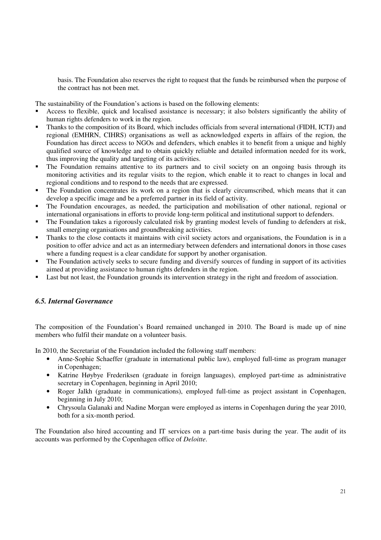basis. The Foundation also reserves the right to request that the funds be reimbursed when the purpose of the contract has not been met.

The sustainability of the Foundation's actions is based on the following elements:

- Access to flexible, quick and localised assistance is necessary; it also bolsters significantly the ability of human rights defenders to work in the region.
- Thanks to the composition of its Board, which includes officials from several international (FIDH, ICTJ) and regional (EMHRN, CIHRS) organisations as well as acknowledged experts in affairs of the region, the Foundation has direct access to NGOs and defenders, which enables it to benefit from a unique and highly qualified source of knowledge and to obtain quickly reliable and detailed information needed for its work, thus improving the quality and targeting of its activities.
- The Foundation remains attentive to its partners and to civil society on an ongoing basis through its monitoring activities and its regular visits to the region, which enable it to react to changes in local and regional conditions and to respond to the needs that are expressed.
- The Foundation concentrates its work on a region that is clearly circumscribed, which means that it can develop a specific image and be a preferred partner in its field of activity.
- The Foundation encourages, as needed, the participation and mobilisation of other national, regional or international organisations in efforts to provide long-term political and institutional support to defenders.
- The Foundation takes a rigorously calculated risk by granting modest levels of funding to defenders at risk, small emerging organisations and groundbreaking activities.
- Thanks to the close contacts it maintains with civil society actors and organisations, the Foundation is in a position to offer advice and act as an intermediary between defenders and international donors in those cases where a funding request is a clear candidate for support by another organisation.
- The Foundation actively seeks to secure funding and diversify sources of funding in support of its activities aimed at providing assistance to human rights defenders in the region.
- Last but not least, the Foundation grounds its intervention strategy in the right and freedom of association.

#### *6.5. Internal Governance*

The composition of the Foundation's Board remained unchanged in 2010. The Board is made up of nine members who fulfil their mandate on a volunteer basis.

In 2010, the Secretariat of the Foundation included the following staff members:

- Anne-Sophie Schaeffer (graduate in international public law), employed full-time as program manager in Copenhagen;
- Katrine Høybye Frederiksen (graduate in foreign languages), employed part-time as administrative secretary in Copenhagen, beginning in April 2010;
- Roger Jalkh (graduate in communications), employed full-time as project assistant in Copenhagen, beginning in July 2010;
- Chrysoula Galanaki and Nadine Morgan were employed as interns in Copenhagen during the year 2010, both for a six-month period.

The Foundation also hired accounting and IT services on a part-time basis during the year. The audit of its accounts was performed by the Copenhagen office of *Deloitte*.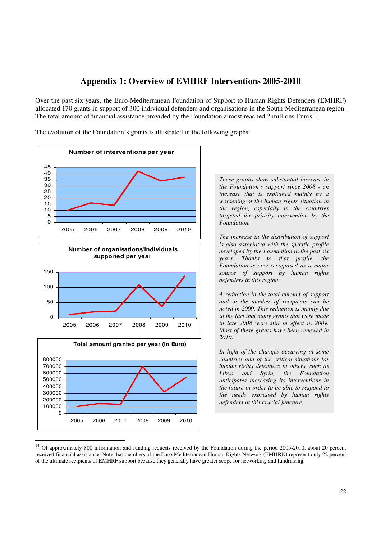# **Appendix 1: Overview of EMHRF Interventions 2005-2010**

Over the past six years, the Euro-Mediterranean Foundation of Support to Human Rights Defenders (EMHRF) allocated 170 grants in support of 300 individual defenders and organisations in the South-Mediterranean region. The total amount of financial assistance provided by the Foundation almost reached 2 millions Euros<sup>14</sup>.

The evolution of the Foundation's grants is illustrated in the following graphs:



2005 2006 2007 2008 2009 2010

 $\Omega$ 

 $\frac{1}{\sqrt{2}}$ 

*These graphs show substantial increase in the Foundation's support since 2008 - an increase that is explained mainly by a worsening of the human rights situation in the region, especially in the countries targeted for priority intervention by the Foundation.* 

*The increase in the distribution of support is also associated with the specific profile developed by the Foundation in the past six years. Thanks to that profile, the Foundation is now recognised as a major source of support by human rights defenders in this region.* 

*A reduction in the total amount of support and in the number of recipients can be noted in 2009. This reduction is mainly due to the fact that many grants that were made in late 2008 were still in effect in 2009. Most of these grants have been renewed in 2010.* 

*In light of the changes occurring in some countries and of the critical situations for human rights defenders in others, such as Libya and Syria, the Foundation anticipates increasing its interventions in the future in order to be able to respond to the needs expressed by human rights defenders at this crucial juncture.* 

<sup>&</sup>lt;sup>14</sup> Of approximately 800 information and funding requests received by the Foundation during the period 2005-2010, about 20 percent received financial assistance. Note that members of the Euro-Mediterranean Human Rights Network (EMHRN) represent only 22 percent of the ultimate recipients of EMHRF support because they generally have greater scope for networking and fundraising.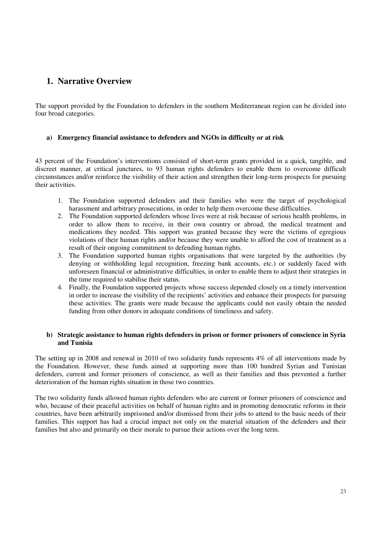# **1. Narrative Overview**

The support provided by the Foundation to defenders in the southern Mediterranean region can be divided into four broad categories.

#### **a) Emergency financial assistance to defenders and NGOs in difficulty or at risk**

43 percent of the Foundation's interventions consisted of short-term grants provided in a quick, tangible, and discreet manner, at critical junctures, to 93 human rights defenders to enable them to overcome difficult circumstances and/or reinforce the visibility of their action and strengthen their long-term prospects for pursuing their activities.

- 1. The Foundation supported defenders and their families who were the target of psychological harassment and arbitrary prosecutions, in order to help them overcome these difficulties.
- 2. The Foundation supported defenders whose lives were at risk because of serious health problems, in order to allow them to receive, in their own country or abroad, the medical treatment and medications they needed. This support was granted because they were the victims of egregious violations of their human rights and/or because they were unable to afford the cost of treatment as a result of their ongoing commitment to defending human rights.
- 3. The Foundation supported human rights organisations that were targeted by the authorities (by denying or withholding legal recognition, freezing bank accounts, etc.) or suddenly faced with unforeseen financial or administrative difficulties, in order to enable them to adjust their strategies in the time required to stabilise their status.
- 4. Finally, the Foundation supported projects whose success depended closely on a timely intervention in order to increase the visibility of the recipients' activities and enhance their prospects for pursuing these activities. The grants were made because the applicants could not easily obtain the needed funding from other donors in adequate conditions of timeliness and safety.

#### **b) Strategic assistance to human rights defenders in prison or former prisoners of conscience in Syria and Tunisia**

The setting up in 2008 and renewal in 2010 of two solidarity funds represents 4% of all interventions made by the Foundation. However, these funds aimed at supporting more than 100 hundred Syrian and Tunisian defenders, current and former prisoners of conscience, as well as their families and thus prevented a further deterioration of the human rights situation in those two countries.

The two solidarity funds allowed human rights defenders who are current or former prisoners of conscience and who, because of their peaceful activities on behalf of human rights and in promoting democratic reforms in their countries, have been arbitrarily imprisoned and/or dismissed from their jobs to attend to the basic needs of their families. This support has had a crucial impact not only on the material situation of the defenders and their families but also and primarily on their morale to pursue their actions over the long term.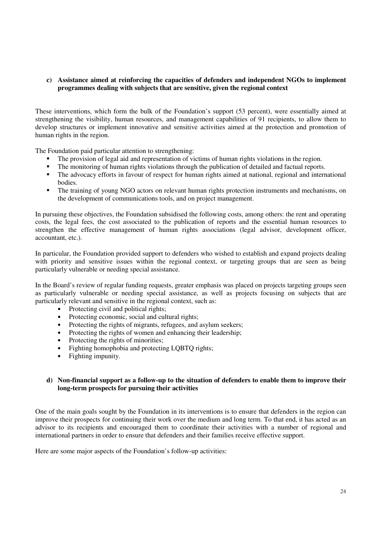#### **c) Assistance aimed at reinforcing the capacities of defenders and independent NGOs to implement programmes dealing with subjects that are sensitive, given the regional context**

These interventions, which form the bulk of the Foundation's support (53 percent), were essentially aimed at strengthening the visibility, human resources, and management capabilities of 91 recipients, to allow them to develop structures or implement innovative and sensitive activities aimed at the protection and promotion of human rights in the region.

The Foundation paid particular attention to strengthening:

- The provision of legal aid and representation of victims of human rights violations in the region.
- The monitoring of human rights violations through the publication of detailed and factual reports.
- The advocacy efforts in favour of respect for human rights aimed at national, regional and international bodies.
- The training of young NGO actors on relevant human rights protection instruments and mechanisms, on the development of communications tools, and on project management.

In pursuing these objectives, the Foundation subsidised the following costs, among others: the rent and operating costs, the legal fees, the cost associated to the publication of reports and the essential human resources to strengthen the effective management of human rights associations (legal advisor, development officer, accountant, etc.).

In particular, the Foundation provided support to defenders who wished to establish and expand projects dealing with priority and sensitive issues within the regional context, or targeting groups that are seen as being particularly vulnerable or needing special assistance.

In the Board's review of regular funding requests, greater emphasis was placed on projects targeting groups seen as particularly vulnerable or needing special assistance, as well as projects focusing on subjects that are particularly relevant and sensitive in the regional context, such as:

- Protecting civil and political rights;
- Protecting economic, social and cultural rights;
- Protecting the rights of migrants, refugees, and asylum seekers;
- Protecting the rights of women and enhancing their leadership;
- Protecting the rights of minorities;
- Fighting homophobia and protecting LQBTQ rights;
- Fighting impunity.

#### **d) Non-financial support as a follow-up to the situation of defenders to enable them to improve their long-term prospects for pursuing their activities**

One of the main goals sought by the Foundation in its interventions is to ensure that defenders in the region can improve their prospects for continuing their work over the medium and long term. To that end, it has acted as an advisor to its recipients and encouraged them to coordinate their activities with a number of regional and international partners in order to ensure that defenders and their families receive effective support.

Here are some major aspects of the Foundation's follow-up activities: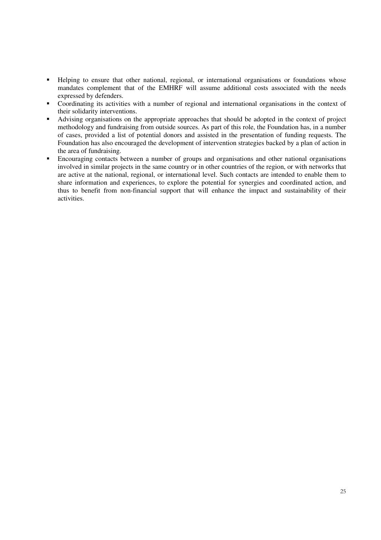- Helping to ensure that other national, regional, or international organisations or foundations whose mandates complement that of the EMHRF will assume additional costs associated with the needs expressed by defenders.
- Coordinating its activities with a number of regional and international organisations in the context of their solidarity interventions.
- Advising organisations on the appropriate approaches that should be adopted in the context of project methodology and fundraising from outside sources. As part of this role, the Foundation has, in a number of cases, provided a list of potential donors and assisted in the presentation of funding requests. The Foundation has also encouraged the development of intervention strategies backed by a plan of action in the area of fundraising.
- **Encouraging contacts between a number of groups and organisations and other national organisations** involved in similar projects in the same country or in other countries of the region, or with networks that are active at the national, regional, or international level. Such contacts are intended to enable them to share information and experiences, to explore the potential for synergies and coordinated action, and thus to benefit from non-financial support that will enhance the impact and sustainability of their activities.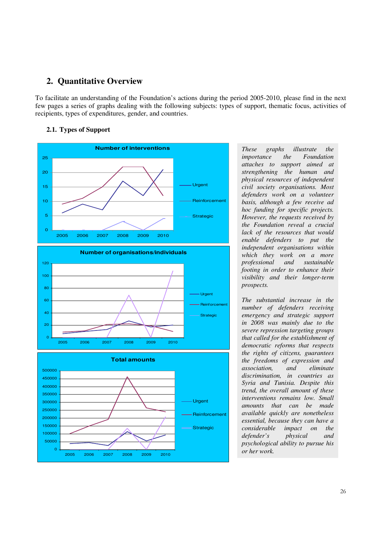# **2. Quantitative Overview**

To facilitate an understanding of the Foundation's actions during the period 2005-2010, please find in the next few pages a series of graphs dealing with the following subjects: types of support, thematic focus, activities of recipients, types of expenditures, gender, and countries.

#### **2.1. Types of Support**



*These graphs illustrate the importance the Foundation attaches to support aimed at strengthening the human and physical resources of independent civil society organisations. Most defenders work on a volunteer basis, although a few receive ad hoc funding for specific projects. However, the requests received by the Foundation reveal a crucial lack of the resources that would enable defenders to put the independent organisations within which they work on a more professional and sustainable footing in order to enhance their visibility and their longer-term prospects.* 

*The substantial increase in the number of defenders receiving emergency and strategic support in 2008 was mainly due to the severe repression targeting groups that called for the establishment of democratic reforms that respects the rights of citizens, guarantees the freedoms of expression and association, and eliminate discrimination, in countries as Syria and Tunisia. Despite this trend, the overall amount of these interventions remains low. Small amounts that can be made available quickly are nonetheless essential, because they can have a considerable impact on the defender's physical and psychological ability to pursue his or her work.*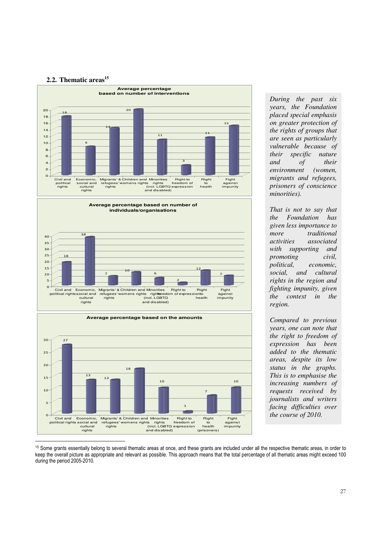#### **2.2. Thematic areas<sup>15</sup>**



*During the past six years, the Foundation placed special emphasis on greater protection of the rights of groups that are seen as particularly vulnerable because of their specific nature and of their environment (women, migrants and refugees, prisoners of conscience minorities).* 

*That is not to say that the Foundation has given less importance to more traditional activities associated with supporting and promoting civil, political, economic, social, and cultural rights in the region and fighting impunity, given the context in the region.* 

*Compared to previous years, one can note that the right to freedom of expression has been added to the thematic areas, despite its low status in the graphs. This is to emphasise the increasing numbers of requests received by journalists and writers facing difficulties over the course of 2010.*



<sup>15</sup> Some grants essentially belong to several thematic areas at once, and these grants are included under all the respective thematic areas, in order to keep the overall picture as appropriate and relevant as possible. This approach means that the total percentage of all thematic areas might exceed 100 during the period 2005-2010.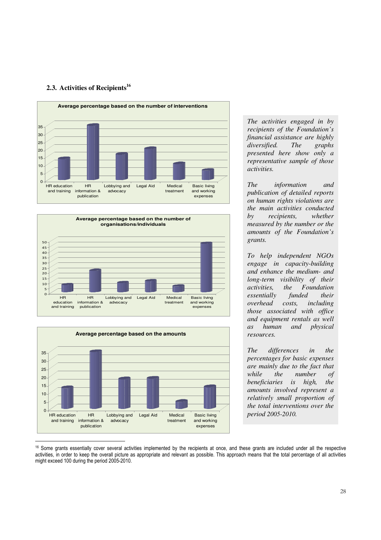### **2.3. Activities of Recipients<sup>16</sup>**







*The activities engaged in by recipients of the Foundation's financial assistance are highly diversified. The graphs presented here show only a representative sample of those activities.* 

*The information and publication of detailed reports on human rights violations are the main activities conducted by recipients, whether measured by the number or the amounts of the Foundation's grants.* 

*To help independent NGOs engage in capacity-building and enhance the medium- and long-term visibility of their the Foundation essentially funded their overhead costs, including those associated with office and equipment rentals as well as human and physical resources.* 

*The differences in the percentages for basic expenses are mainly due to the fact that while the number of beneficiaries is high, the amounts involved represent a relatively small proportion of the total interventions over the period 2005-2010.* 

<sup>&</sup>lt;sup>16</sup> Some grants essentially cover several activities implemented by the recipients at once, and these grants are included under all the respective activities, in order to keep the overall picture as appropriate and relevant as possible. This approach means that the total percentage of all activities might exceed 100 during the period 2005-2010.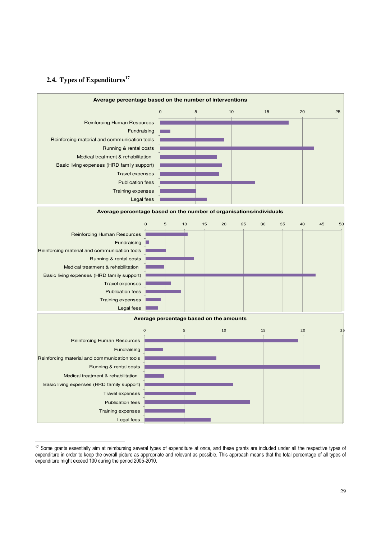#### **2.4. Types of Expenditures<sup>17</sup>**



<sup>-</sup><sup>17</sup> Some grants essentially aim at reimbursing several types of expenditure at once, and these grants are included under all the respective types of expenditure in order to keep the overall picture as appropriate and relevant as possible. This approach means that the total percentage of all types of expenditure might exceed 100 during the period 2005-2010.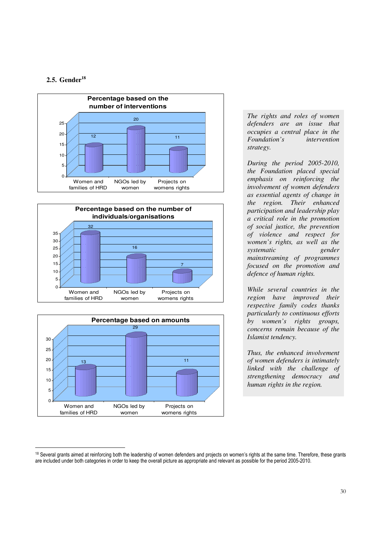#### **2.5. Gender<sup>18</sup>**

-







*The rights and roles of women defenders are an issue that occupies a central place in the Foundation's intervention strategy.* 

*During the period 2005-2010, the Foundation placed special emphasis on reinforcing the involvement of women defenders as essential agents of change in the region. Their enhanced participation and leadership play a critical role in the promotion of social justice, the prevention of violence and respect for women's rights, as well as the systematic gender mainstreaming of programmes focused on the promotion and defence of human rights.* 

*While several countries in the region have improved their respective family codes thanks particularly to continuous efforts by women's rights groups, concerns remain because of the Islamist tendency.* 

*Thus, the enhanced involvement of women defenders is intimately linked with the challenge of strengthening democracy and human rights in the region.* 

<sup>&</sup>lt;sup>18</sup> Several grants aimed at reinforcing both the leadership of women defenders and projects on women's rights at the same time. Therefore, these grants are included under both categories in order to keep the overall picture as appropriate and relevant as possible for the period 2005-2010.